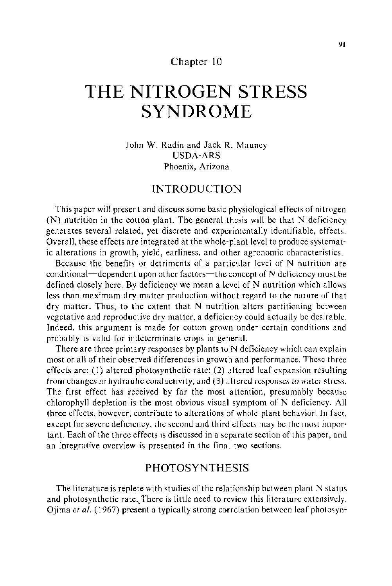### Chapter 10

# **THE NITROGEN STRESS SYNDROME**

John W. Radin and Jack R. Mauney USDA-ARS Phoenix, Arizona

## INTRODUCTION

This paper will present and discuss some basic physiological effects of nitrogen (N) nutrition in the cotton plant. The general thesis will be that N deficiency generates several related, yet discrete and experimentally identifiable, effects. Overall, these effects are integrated at the whole-plant level to produce systematic alterations in growth, yield, earliness, and other agronomic characteristics.

Because the benefits or detriments of a particular level of N nutrition are conditional-dependent upon other factors-the concept of N deficiency must be defined closely here. By deficiency we mean a level of  $N$  nutrition which allows less than maximum dry matter production without regard to the nature of that dry matter. Thus, to the extent that N nutrition alters partitioning between vegetative and reproductive dry matter, a deficiency could actually be desirable. Indeed, this argument is made for cotton grown under certain conditions and probably is valid for indeterminate crops in general.

There are three primary responses by plants to N deficiency which can explain most or all of their observed differences in growth and performance. These three effects are: (1) altered photosynthetic rate; (2) altered leaf expansion resulting from changes in hydraulic conductivity; and (3) altered responses to water stress. The first effect has received by far the most attention, presumably because chlorophyll depletion is the most obvious visual symptom of N deficiency. All three effects, however, contribute to alterations of whole-plant behavior. In fact, except for severe deficiency, the second and third effects may be the most important. Each of the three effects is discussed in a separate section of this paper, and an integrative overview is presented in the final two sections.

# PHOTOSYNTHESIS

The literature is replete with studies of the relationship between plant  $N$  status and photosynthetic rate. There is little need to review this literature extensively. Ojima *et* at. (1967) present a typically strong correlation between leaf photosyn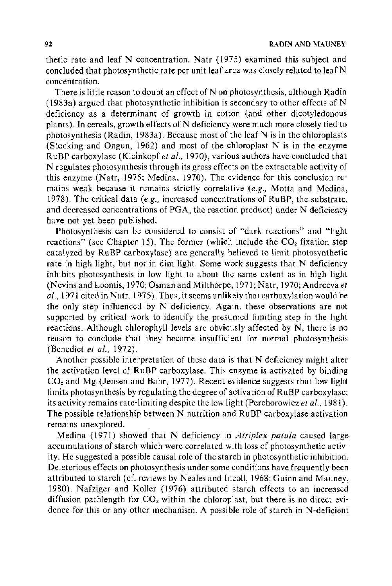thetic rate and leaf N concentration. Natr (1975) examined this subject and concluded that photosynthetic rate per unit leaf area was closely related to leaf N concentration.

There is little reason to doubt an effect of Non photosynthesis, although Radin ( 1983a) argued that photosynthetic inhibition is secondary to other effects of N deficiency as a determinant of growth in cotton (and other dicotyledonous plants). In cereals, growth effects of N deficiency were much more closely tied to photosynthesis (Radin, 1983a). Because most of the leaf N is in the chloroplasts (Stocking and Ongun, 1962) and most of the chloroplast N is in the enzyme RuBP carboxylase (Kleinkopf *et a/.,* 1970), various authors have concluded that N regulates photosynthesis through its gross effects on the extractable activity of this enzyme (Natr, 1975; Medina, 1970). The evidence for this conclusion remains weak because it remains strictly correlative *(e.g.,* Motta and Medina, 1978). The critical data *(e.g.,* increased concentrations of RuBP, the substrate, and decreased concentrations of PGA, the reaction product) under N deficiency have not yet been published.

Photosynthesis can be considered to consist of "dark reactions" and "light reactions" (see Chapter 15). The former (which include the  $CO<sub>2</sub>$  fixation step catalyzed by RuBP carboxylase) are generally believed to limit photosynthetic rate in high light, but not in dim light. Some work suggests that N deficiency inhibits photosynthesis in low light to about the same extent as in high light (Nevins and Loomis, 1970; Osman and Mil thorpe, 1971; N atr, 1970; Andreeva *et al.,* 1971 cited in Natr, 1975). Thus, it seems unlikely that carboxylation would be the only step influenced by N deficiency. Again, these observations are not supported by critical work to identify the presumed limiting step in the light reactions. Although chlorophyll levels are obviously affected by N, there is no reason to conclude that they become insufficient for normal photosynthesis (Benedict *et al.,* 1972).

Another possible interpretation of these data is that N deficiency might alter the activation level of RuBP carboxylase. This enzyme is activated by binding  $CO<sub>2</sub>$  and Mg (Jensen and Bahr, 1977). Recent evidence suggests that low light limits photosynthesis by regulating the degree of activation of RuBP carboxylase; its activity remains rate-limiting despite the low light (Perchorowicz *et al.*, 1981). The possible relationship between N nutrition and RuBP carboxylase activation remains unexplored.

Medina (1971) showed that N deficiency in *A triplex patula* caused large accumulations of starch which were correlated with loss of photosynthetic activity. He suggested a possible causal role of the starch in photosynthetic inhibition. Deleterious effects on photosynthesis under some conditions have frequently been attributed to starch (cf. reviews by Neales and Incoll, 1968; Guinn and Mauney, 1980). Nafziger and Koller (1976) attributed starch effects to an increased diffusion pathlength for  $CO<sub>2</sub>$  within the chloroplast, but there is no direct evidence for this or any other mechanism. A possible role of starch in N-deficient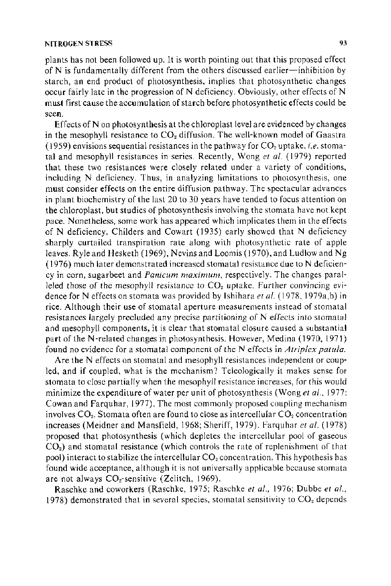plants has not been followed up. It is worth pointing out that this proposed effect of  $N$  is fundamentally different from the others discussed earlier-inhibition by starch, an end product of photosynthesis, implies that photosynthetic changes occur fairly late in the progression of N deficiency. Obviously, other effects of N must first cause the accumulation of starch before photosynthetic effects could be seen.

Effects of  $N$  on photosynthesis at the chloroplast level are evidenced by changes in the mesophyll resistance to  $CO<sub>2</sub>$  diffusion. The well-known model of Gaastra (I 959) envisions sequential resistances in the pathway for COz uptake, *i.e.* stomatal and mesophyll resistances in series. Recently, Wong *et a!.* ( 1979) reported that these two resistances were closely related under a variety of conditions, including N deficiency. Thus, in analyzing limitations to photosynthesis, one must consider effects on the entire diffusion pathway. The spectacular advances in plant biochemistry of the last 20 to 30 years have tended to focus attention on the chloroplast, but studies of photosynthesis involving the stomata have not kept pace. Nonetheless, some work has appeared which implicates them in the effects of N deficiency. Childers and Cowart (1935) early showed that N deficiency sharply curtailed transpiration rate along with photosynthetic rate of apple leaves. Ryle and Hesketh ( 1969), Nevins and Loomis ( 1970), and Ludlow and Ng  $(1976)$  much later demonstrated increased stomatal resistance due to N deficiency in corn, sugarbeet and *Panicum maximum,* respectively. The changes paralleled those of the mesophyll resistance to  $CO<sub>2</sub>$  uptake. Further convincing evidence for N effects on stomata was provided by Ishihara et al. (1978, 1979a,b) in rice. Although their use of stomatal aperture measurements instead of stomatal resistances largely precluded any precise partitioning of N effects into stomatal and mesophyll components, it is clear that stomatal closure caused a substantial part of the N -related changes in photosynthesis. However, Medina ( 1970, 1971) found no evidence for a stomatal component of the N effects in *A triplex patula.* 

Are the N effects on stomatal and mesophyll resistances independent or coupled, and if coupled, what is the mechanism? Teleologically it makes sense for stomata to close partially when the mesophyll resistance increases, for this would minimize the expenditure of water per unit of photosynthesis (Wong *eta!.,* 1977: Cowan and Farquhar, 1977). The most commonly proposed coupling mechanism involves  $CO<sub>2</sub>$ . Stomata often are found to close as intercellular  $CO<sub>2</sub>$  concentration increases (Meidner and Mansfield, 1968; Sheriff, 1979). Farquhar *et a!.* ( 1978) proposed that photosynthesis (which depletes the intercellular pool of gaseous  $CO<sub>2</sub>$ ) and stomatal resistance (which controls the rate of replenishment of that pool) interact to stabilize the intercellular  $CO<sub>2</sub>$  concentration. This hypothesis has found wide acceptance, although it is not universally applicable because stomata are not always CO<sub>2</sub>-sensitive (Zelitch, 1969).

Raschke and coworkers (Raschke, 1975; Raschke *et al.,* 1976; Dubbe *et al.,*  1978) demonstrated that in several species, stomatal sensitivity to  $CO<sub>z</sub>$  depends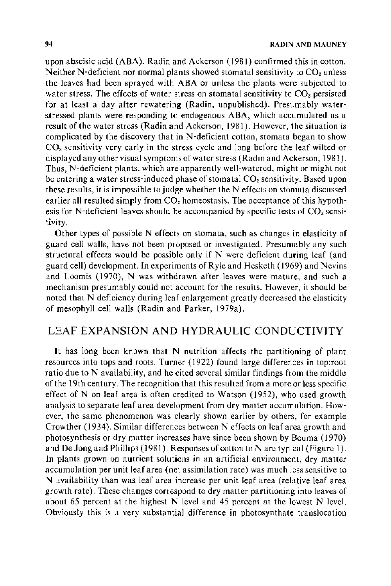upon abscisic acid (ABA). Radin and Ackerson (1981) confirmed this in cotton. Neither N-deficient nor normal plants showed stomatal sensitivity to  $CO<sub>2</sub>$  unless the leaves had been sprayed with ABA or unless the plants were subjected to water stress. The effects of water stress on stomatal sensitivity to  $CO<sub>2</sub>$  persisted for at least a day after rewatering (Radin, unpublished). Presumably waterstressed plants were responding to endogenous ABA, which accumulated as a result of the water stress (Radin and Ackerson, 1981). However, the situation is complicated by the discovery that in N-deficient cotton, stomata began to show  $CO<sub>2</sub>$  sensitivity very early in the stress cycle and long before the leaf wilted or displayed any other visual symptoms of water stress (Radin and Ackerson, 1981 ). Thus, N-deficient plants, which are apparently well-watered, might or might not be entering a water stress-induced phase of stomatal CO<sub>2</sub> sensitivity. Based upon these results, it is impossible to judge whether the  $N$  effects on stomata discussed earlier all resulted simply from  $CO<sub>2</sub>$  homeostasis. The acceptance of this hypothesis for N-deficient leaves should be accompanied by specific tests of  $CO<sub>2</sub>$  sensitivity.

Other types of possible N effects on stomata, such as changes in elasticity of guard cell walls, have not been proposed or investigated. Presumably any such structural effects would be possible only if  $N$  were deficient during leaf (and guard cell) development. In experiments of Ryle and Hesketh ( 1969) and Nevins and Loomis (1970), N was withdrawn after leaves were mature, and such a mechanism presumably could not account for the results. However, it should be noted that N deficiency during leaf enlargement greatly decreased the elasticity of mesophyll cell walls (Radin and Parker, l979a).

# LEAF EXPANSION AND HYDRAULIC CONDUCTIVITY

It has long been known that N nutrition affects the partitioning of plant resources into tops and roots. Turner (1922) found large differences in top:root ratio due to  $N$  availability, and he cited several similar findings from the middle of the 19th century. The recognition that this resulted from a more or less specific effect of Non leaf area is often credited to Watson (1952), who used growth analysis to separate leaf area development from dry matter accumulation. However, the same phenomenon was clearly shown earlier by others, for example Crowther (1934). Similar differences between N effects on leaf area growth and photosynthesis or dry matter increases have since been shown by Bouma (1970) and De Jong and Phillips (1981). Responses of cotton to  $N$  are typical (Figure 1). In plants grown on nutrient solutions in an artificial environment, dry matter accumulation per unit leaf area (net assimilation rate) was much Jess sensitive to N availability than was leaf area increase per unit leaf area (relative leaf area growth rate). These changes correspond to dry matter partitioning into leaves of about 65 percent at the highest N level and 45 percent at the lowest N level. Obviously this is a very substantial difference in photosynthate translocation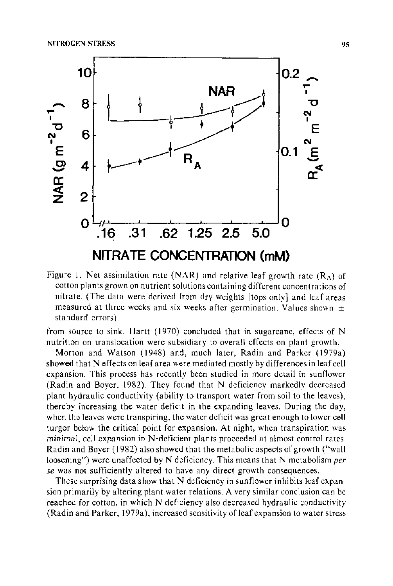

Figure 1. Net assimilation rate (NAR) and relative leaf growth rate  $(R_A)$  of cotton plants grown on nutrient solutions containing different concentrations of nitrate. (The data were derived from dry weights [tops only} and leaf areas measured at three weeks and six weeks after germination. Values shown  $\pm$ standard errors).

from source to sink. Hartt (1970) concluded that in sugarcane, effects of N nutrition on translocation were subsidiary to overall effects on plant growth.

Morton and Watson (1948) and, much later, Radin and Parker (1979a) showed that N effects on leaf area were mediated mostly by differences in leaf cell expansion. This process has recently been studied in more detail in sunflower (Radin and Boyer, 1982). They found that N deficiency markedly decreased plant hydraulic conductivity (ability to transport water from soil to the leaves), thereby increasing the water deficit in the expanding leaves. During the day, when the leaves were transpiring, the water deficit was great enough to lower cell turgor below the critical point for expansion. At night, when transpiration was minimal, cell expansion in N-deficient plants proceeded at almost control rates. Radin and Boyer (1982) also showed that the metabolic aspects of growth ("wall loosening") were unaffected by N deficiency. This means that N metabolism *per se* was not sufficiently altered to have any direct growth consequences.

These surprising data show that N deficiency in sunflower inhibits leaf expansion primarily by altering plant water relations. A very similar conclusion can be reached for cotton, in which N deficiency also decreased hydraulic conductivity (Radin and Parker, 1979a), increased sensitivity of leaf expansion to water stress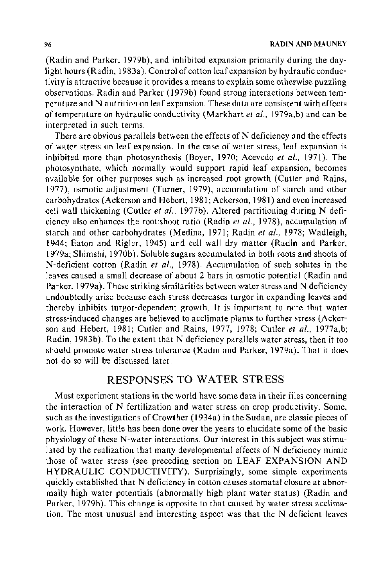(Radin and Parker, 1979b), and inhibited expansion primarily during the daylight hours (Radin, 1983a). Control of cotton leaf expansion by hydraulic conductivity is attractive because it provides a means to explain some otherwise puzzling observations. Radin and Parker (1979b) found strong interactions between temperature and N nutrition on leaf expansion. These data are consistent with effects of temperature on hydraulic conductivity (Markhart *et al.,* 1979a,b) and can be interpreted in such terms.

There are obvious parallels between the effects of  $N$  deficiency and the effects of water stress on leaf expansion. In the case of water stress, leaf expansion is inhibited more than photosynthesis (Boyer, 1970; Acevedo *et al.*, 1971). The photosynthate, which normally would support rapid leaf expansion, becomes available for other purposes such as increased root growth (Cutler and Rains, 1977), osmotic adjustment (Turner, 1979), accumulation of starch and other carbohydrates (Ackerson and Hebert, 1981; Ackerson, 1981) and even increased cell wall thickening (Cutler *et al.,* 1977b). Altered partitioning during N deficiency also enhances the root:shoot ratio (Radin *et a/.,* 1978), accumulation of starch and other carbohydrates (Medina, 1971; Radin *et al.,* 1978; Wadleigh, 1944; Eaton and Rigler, 1945) and cell wall dry matter (Radin and Parker, 1979a; Shimshi, 1970b). Soluble sugars accumulated in both roots and shoots of N-deficient cotton (Radin *et a/.,* 1978). Accumulation of such solutes in the leaves caused a small decrease of about 2 bars in osmotic potential (Radin and Parker, 1979a). These striking similarities between water stress and N deficiency undoubtedly arise because each stress decreases turgor in expanding leaves and thereby inhibits turgor-dependent growth. It is important to note that water stress-induced changes are believed to acclimate plants to further stress (Ackerson and Hebert, 1981; Cutler and Rains, 1977, 1978; Cutler et al., 1977a,b; Radin, 1983b). To the extent that N deficiency parallels water stress, then it too should promote water stress tolerance (Radin and Parker, 1979a). That it does not do so will be discussed later.

## RESPONSES TO WATER STRESS

Most experiment stations in the world have some data in their files concerning the interaction of N fertilization and water stress on crop productivity. Some, such as the investigations of Crowther (1934a) in the Sudan, are classic pieces of work. However, little has been done over the years to elucidate some of the basic physiology of these N-water interactions. Our interest in this subject was stimulated by the realization that many developmental effects of N deficiency mimic those of water stress (see preceding section on LEAF EXPANSION AND HYDRAULIC CONDUCTIVITY). Surprisingly, some simple experiments quickly established that N deficiency in cotton causes stomatal closure at abnormally high water potentials (abnormally high plant water status) (Radin and Parker, 1979b). This change is opposite to that caused by water stress acclimation. The most unusual and interesting aspect was that the N-deficient leaves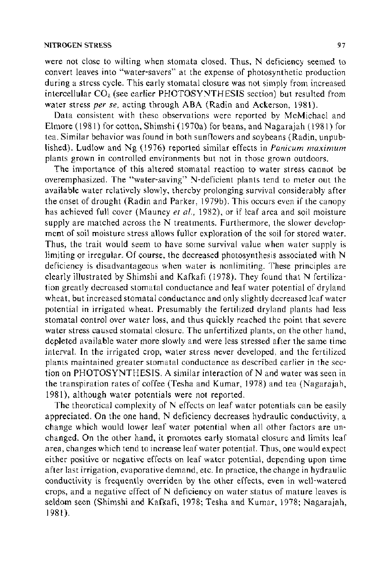were not close to wilting when stomata closed. Thus, N deficiency seemed to convert leaves into "water-savers" at the expense of photosynthetic production during a stress cycle. This early stomatal closure was not simply from increased intercellular *COz* (see earlier PHOTOSYNTHESIS section) but resulted from water stress *per se,* acting through ABA (Radin and Ackerson, 1981).

Data consistent with these observations were reported by McMichael and Elmore (1981) for cotton, Shimshi (1970a) for beans, and Nagarajah ( 1981) for tea. Similar behavior was found in both sunflowers and soybeans (Radin, unpublished). Ludlow and Ng (1976) reported similar effects in *Panicum maximum*  plants grown in controlled environments but not in those grown outdoors.

The importance of this altered stomatal reaction to water stress cannot be overemphasized. The "water-saving" N-deficient plants tend to meter out the available water relatively slowly, thereby prolonging survival considerably after the onset of drought (Radin and Parker, 1979b). This occurs even if the canopy has achieved full cover (Mauney *et al.,* 1982), or if leaf area and soil moisture supply are matched across the N treatments. Furthermore, the slower development of soil moisture stress allows fuller exploration of the soil for stored water. Thus, the trait would seem to have some survival value when water supply is limiting or irregular. Of course, the decreased photosynthesis associated with N deficiency is disadvantageous when water is nonlimiting. These principles are clearly illustrated by Shimshi and Kafkafi (1978). They found that N fertilization greatly decreased stomatal conductance and leaf water potential of dryland wheat, but increased stomatal conductance and only slightly decreased leaf water potential in irrigated wheat. Presumably the fertilized dryland plants had less stomatal control over water loss, and thus quickly reached the point that severe water stress caused stomatal closure. The unfertilized plants, on the other hand, depleted available water more slowly and were less stressed after the same time interval. In the irrigated crop, water stress never developed, and the fertilized plants maintained greater stomatal conductance as described earlier in the section on PHOTOSYNTHESIS. A similar interaction of Nand water was seen in the transpiration rates of coffee (Tesha and Kumar, 1978) and tea (Nagarajah, 1981), although water potentials were not reported.

The theoretical complexity of N effects on leaf water potentials can be easily appreciated. On the one hand, N deficiency decreases hydraulic conductivity, a change which would lower leaf water potential when all other factors are unchanged. On the other hand, it promotes early stomatal closure and limits leaf area, changes which tend to increase leaf water potential. Thus, one would expect either positive or negative effects on leaf water potential, depending upon time after last irrigation, evaporative demand, etc. In practice, the change in hydraulic conductivity is frequently overriden by the other effects, even in well-watered crops, and a negative effect of N deficiency on water status of mature leaves is seldom seen (Shimshi and Kafkafi, 1978; Tesha and Kumar, 1978; Nagarajah, 1981).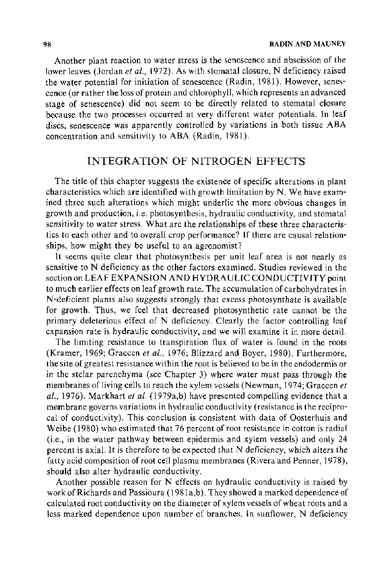Another plant reaction to water stress is the senescence and abscission of the lower leaves (Jordan et al., 1972). As with stomatal closure, N deficiency raised the water potential for initiation of senescence (Radin, 1981). However, senescence (or rather the loss of protein and chlorophyll, which represents an advanced stage of senescence) did not seem to be directly related to stomatal closure because the two processes occurred at very different water potentials. In leaf discs, senescence was apparently controlled by variations in both tissue ABA concentration and sensitivity to ABA (Radin, 1981).

# INTEGRATION OF NITROGEN EFFECTS

The title of this chapter suggests the existence of specific alterations in plant characteristics which are identified with growth limitation by N. We have examined three such alterations which might underlie the more obvious changes in growth and production, i.e. photosynthesis, hydraulic conductivity, and stomatal sensitivity to water stress. What are the relationships of these three characteristics to each other and to overall crop performance? If there are causal relationships, how might they be useful to an agronomist?

It seems quite clear that photosynthesis per unit leaf area is not nearly as sensitive to N deficiency as the other factors examined. Studies reviewed in the section on LEAF EXPANSION AND HYDRAULIC CONDUCTIVITY point to much earlier effects on leaf growth rate. The accumulation of carbohydrates in N-deficient plants also suggests strongly that excess photosynthate is available for growth. Thus, we feel that decreased photosynthetic rate cannot be the primary deleterious effect of N deficiency. Clearly the factor controlling leaf expansion rate is hydraulic conductivity, and we will examine it in more detail.

The limiting resistance to transpiration flux of water is found in the roots (Kramer, 1969; Graecen *et a!.,* 1976; Blizzard and Boyer, 1980). Furthermore, the site of greatest resistance within the root is believed to be in the endodermis or in the stelar parenchyma (see Chapter 3) where water must pass through the membranes of living cells to reach the xylem vessels (Newman, 1974; Graecen *et a/.,* 1976). Markhart *et al.* (1979a,b) have presented compelling evidence that a membrane governs variations in hydraulic conductivity (resistance is the reciprocal of conductivity). This conclusion is consistent with data of Oosterhuis and Weibe (1980) who estimated that 76 percent of root resistance in cotton is radial (i.e., in the water pathway between epidermis and xylem vessels) and only 24 percent is axial. It is therefore to be expected that N deficiency, which alters the fatty acid composition of root cell plasma membranes (Rivera and Penner, 1978), should also alter hydraulic conductivity.

Another possible reason for N effects on hydraulic conductivity is raised by work of Richards and Passioura (1981a,b). They showed a marked dependence of calculated root conductivity on the diameter of xylem vessels of wheat roots and a less marked dependence upon number of branches. In sunflower, N deficiency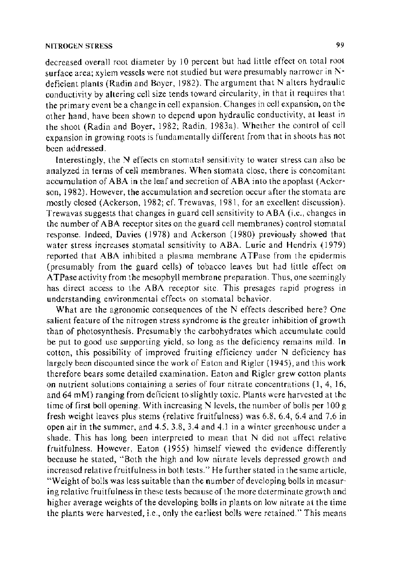decreased overall root diameter by 10 percent but had little effect on total root surface area; xylem vessels were not studied but were presumably narrower in Ndeficient plants (Radin and Boyer, 1982). The argument that N alters hydraulic conductivity by altering cell size tends toward circularity, in that it requires that the primary event be a change in cell expansion. Changes in cell expansion, on the other hand, have been shown to depend upon hydraulic conductivity, at least in the shoot (Radin and Boyer, 1982; Radin, 1983a). Whether the control of cell expansion in growing roots is fundamentally different from that in shoots has not been addressed.

Interestingly, the N effects on stomatal sensitivity to water stress can also be analyzed in terms of cell membranes. When stomata close, there is concomitant accumulation of ABA in the leaf and secretion of ABA into the apoplast (Ackerson, 1982). However, the accumulation and secretion occur after the stomata are mostly closed (Ackerson, 1982; cf. Trewavas, 1981, for an excellent discussion). Trewavas suggests that changes in guard cell sensitivity to ABA (i.e., changes in the number of ABA receptor sites on the guard cell membranes) control stomatal response. Indeed, Davies ( 1978) and Ackerson (1980) previously showed that water stress increases stomatal sensitivity to ABA. Lurie and Hendrix (1979) reported that ABA inhibited a plasma membrane A TPase from the epidermis (presumably from the guard cells) of tobacco leaves but had little effect on A TPase activity from the mesophyll membrane preparation. Thus, one seemingly has direct access to the ABA receptor site. This presages rapid progress in understanding environmental effects on stomatal behavior.

What are the agronomic consequences of the  $N$  effects described here? One salient feature of the nitrogen stress syndrome is the greater inhibition of growth than of photosynthesis. Presumably the carbohydrates which accumulate could be put to good use supporting yield, so long as the deficiency remains mild. In cotton, this possibility of improved fruiting efficiency under N deficiency has largely been discounted since the work of Eaton and Rigler ( 1945), and this work therefore bears some detailed examination. Eaton and Rigler grew cotton plants on nutrient solutions containing a series of four nitrate concentrations (1, 4, 16, and 64 mM) ranging from deficient to slightly toxic. Plants were harvested at the time of first boll opening. With increasing N levels, the number of bolls per 100 g fresh weight leaves plus stems (relative fruitfulness) was 6.8, 6.4, 6.4 and 7.6 in open air in the summer, and 4.5, 3.8, 3.4 and 4.1 in a winter greenhouse under a shade. This has long been interpreted to mean that N did not affect relative fruitfulness. However, Eaton (1955) himself viewed the evidence differently because he stated, "Both the high and low nitrate levels depressed growth and increased relative fruitfulness in both tests." He further stated in the same article, "Weight of bolls was less suitable than the number of developing bolls in measuring relative fruitfulness in these tests because of the more determinate growth and higher average weights of the developing bolls in plants on low nitrate at the time the plants were harvested, i.e., only the earliest bolls were retained." This means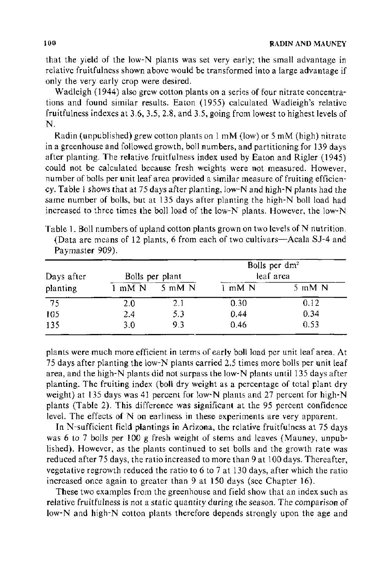that the yield of the low-N plants was set very early; the small advantage in relative fruitfulness shown above would be transformed into a large advantage if only the very early crop were desired.

Wadleigh (1944) also grew cotton plants on a series of four nitrate concentrations and found similar results. Eaton (1955) calculated Wadleigh's relative fruitfulness indexes at 3.6, 3.5, 2.8, and 3.5, going from lowest to highest levels of N.

Radin (unpublished) grew cotton plants on 1 mM (low) or 5 mM (high) nitrate in a greenhouse and followed growth, boll numbers, and partitioning for 139 days after planting. The relative fruitfulness index used by Eaton and Rigler (1945) could not be calculated because fresh weights were not measured. However, number of bolls per unit leaf area provided a similar measure of fruiting efficiency. Table I shows that at 75 days after planting, !ow-N and high-N plants had the same number of bolls, but at 135 days after planting the high-N boll load had increased to three times the boll load of the low-N plants. However, the low-N

| Table 1. Boll numbers of upland cotton plants grown on two levels of N nutrition. |  |  |  |  |  |
|-----------------------------------------------------------------------------------|--|--|--|--|--|
| (Data are means of 12 plants, 6 from each of two cultivars—Acala SJ-4 and         |  |  |  |  |  |
| Paymaster 909).                                                                   |  |  |  |  |  |

| Days after      |        | Bolls per plant  | Bolls per $dm^2$<br>leaf area |                  |  |
|-----------------|--------|------------------|-------------------------------|------------------|--|
| planting        | 1 mM N | $5 \text{ mM} N$ | 1 mM N                        | $5 \text{ mM}$ N |  |
| $\overline{75}$ | 2.0    | 2.1              | 0.30                          | 0.12             |  |
| 105             | 2.4    | 5.3              | 0.44                          | 0.34             |  |
| 135             | 3.0    | 93               | 0.46                          | 0.53             |  |

plants were much more efficient in terms of early boll load per unit leaf area. At 75 days after planting the low-N plants carried 2.5 times more bolls per unit leaf area, and the high-N plants did not surpass the low-N plants until 135 days after planting. The fruiting index (boll dry weight as a percentage of total plant dry weight) at 135 days was 41 percent for low-N plants and 27 percent for high-N plants (Table 2). This difference was significant at the 95 percent confidence level. The effects of N on earliness in these experiments are very apparent.

In N-sufficient field plantings in Arizona, the relative fruitfulness at 75 days was 6 to 7 bolls per 100 g fresh weight of stems and leaves (Mauney, unpublished). However, as the plants continued to set bolls and the growth rate was reduced after 75 days, the ratio increased to more than 9 at 100 days. Thereafter, vegetative regrowth reduced the ratio to 6 to 7 at 130 days, after which the ratio increased once again to greater than 9 at 150 days (see Chapter 16).

These two examples from the greenhouse and field show that an index such as relative fruitfulness is not a static quantity during the season. The comparison of low-N and high-N cotton plants therefore depends strongly upon the age and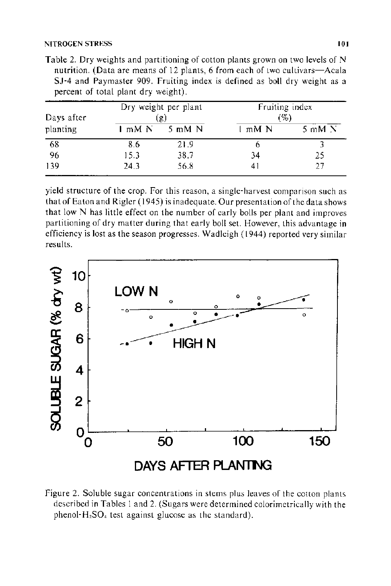| Days after |        | Dry weight per plant<br>(g) | Fruiting index<br>(9) |                           |  |
|------------|--------|-----------------------------|-----------------------|---------------------------|--|
| planting   | 1 mM N | $5 \text{ mM N}$            | mM N                  | $5 \text{ mM}$ $\text{N}$ |  |
| 68         | 8.6    | 21.9                        | b                     |                           |  |
| 96         | 15.3   | 38.7                        | 34                    | 25                        |  |
| 139        | 24.3   | 56.8                        | 41                    | 27                        |  |

Table 2. Dry weights and partitioning of cotton plants grown on two levels of N nutrition. (Data are means of 12 plants, 6 from each of two cultivars-Acala SJ-4 and Paymaster 909. Fruiting index is defined as boll dry weight as a percent of total plant dry weight).

yield structure of the crop. For this reason, a single-harvest comparison such as that of Eaton and Rigler (1945) is inadequate. Our presentation of the data shows that low N has little effect on the number of early bolls per plant and improves partitioning of dry matter during that early boll set. However, this advantage in efficiency is lost as the season progresses. Wadleigh (1944) reported very similar results.



Figure 2. Soluble sugar concentrations in stems plus leaves of the cotton plants described in Tables I and 2. (Sugars were determined colorimetrically with the phenol- $H_2SO_4$  test against glucose as the standard).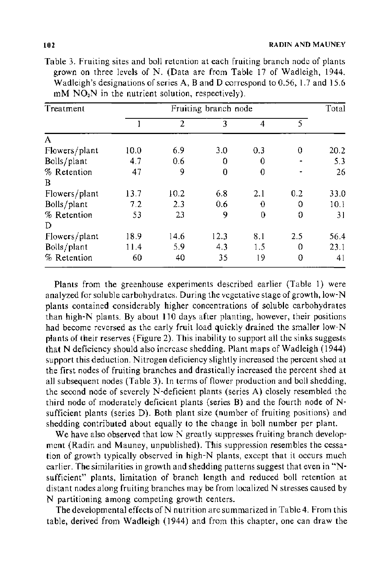| Treatment     | Fruiting branch node |                |      |                |     |      |
|---------------|----------------------|----------------|------|----------------|-----|------|
|               |                      | $\overline{2}$ | 3    | $\overline{4}$ | 5.  |      |
| A             |                      |                |      |                |     |      |
| Flowers/plant | 10.0                 | 6.9            | 3.0  | 0.3            | 0   | 20.2 |
| Bolls/plant   | 4.7                  | 0.6            | 0    | 0              |     | 5.3  |
| % Retention   | 47                   | 9              | 0    | $\Omega$       |     | 26   |
| B             |                      |                |      |                |     |      |
| Flowers/plant | 13.7                 | 10.2           | 6.8  | 2.1            | 0.2 | 33.0 |
| Bolls/plant   | 7.2                  | 2.3            | 0.6  | 0              | 0   | 10.1 |
| % Retention   | 53                   | 23             | 9    | 0              | 0   | 31   |
| D             |                      |                |      |                |     |      |
| Flowers/plant | 18.9                 | 14.6           | 12.3 | 8.1            | 2.5 | 56.4 |
| Bolls/plant   | 11.4                 | 5.9            | 4.3  | 1.5            | 0   | 23.1 |
| % Retention   | 60                   | 40             | 35   | 19             | 0   | 41   |

Table 3. Fruiting sites and boll retention at each fruiting branch node of plants grown on three levels of N. (Data are from Table 17 of Wadleigh, 1944. Wadleigh's designations of series A, Band D correspond to 0.56, 1.7 and 15.6  $mM NO<sub>3</sub>N$  in the nutrient solution, respectively).

Plants from the greenhouse experiments described earlier (Table I) were analyzed for soluble carbohydrates. During the vegetative stage of growth, low-N plants contained considerably higher concentrations of soluble carbohydrates than high-N plants. By about 110 days after planting, however, their positions had become reversed as the early fruit load quickly drained the smaller low-N plants of their reserves (Figure 2). This inability to support all the sinks suggests that N deficiency should also increase shedding. Plant maps of Wadleigh (1944) support this deduction. Nitrogen deficiency slightly increased the percent shed at the first nodes of fruiting branches and drastically increased the percent shed at all subsequent nodes (Table 3). In terms of flower production and boll shedding, the second node of severely N-deficient plants (series A) closely resembled the third node of moderately deficient plants (series B) and the fourth node of Nsufficient plants (series D). Both plant size (number of fruiting positions) and shedding contributed about equally to the change in boll number per plant.

We have also observed that low N greatly suppresses fruiting branch development (Radin and Mauney, unpublished). This suppression resembles the cessation of growth typically observed in high-N plants, except that it occurs much earlier. The similarities in growth and shedding patterns suggest that even in "Nsufficient" plants, limitation of branch length and reduced boll retention at distant nodes along fruiting branches may be from localized N stresses caused by N partitioning among competing growth centers.

The developmental effects of N nutrition are summarized in Table 4. From this table, derived from Wadleigh (1944) and from this chapter, one can draw the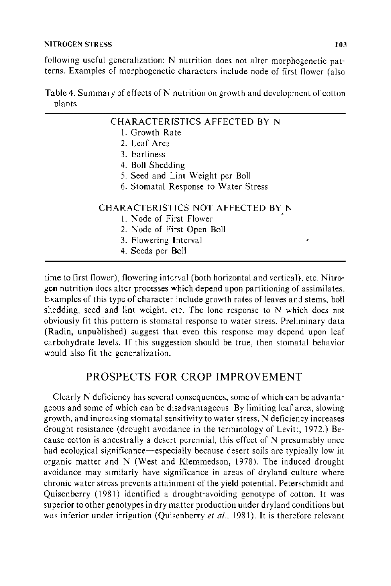following useful generalization: N nutrition does not alter morphogenetic patterns. Examples of morphogenetic characters include node of first flower (also

|         |  |  |  | Table 4. Summary of effects of N nutrition on growth and development of cotton |  |
|---------|--|--|--|--------------------------------------------------------------------------------|--|
| plants. |  |  |  |                                                                                |  |

| CHARACTERISTICS AFFECTED BY N        |
|--------------------------------------|
| 1. Growth Rate                       |
| 2. Leaf Area                         |
| 3. Earliness                         |
| 4. Boll Shedding                     |
| 5. Seed and Lint Weight per Boll     |
| 6. Stomatal Response to Water Stress |
| CHARACTERISTICS NOT AFFECTED BY N    |
| 1. Node of First Flower              |
| 2. Node of First Open Boll           |
| 3. Flowering Interval                |
| 4. Seeds per Boll                    |

time to first flower), flowering interval (both horizontal and vertical), etc. Nitrogen nutrition does alter processes which depend upon partitioning of assimilates. Examples of this type of character include growth rates of leaves and stems, boll shedding, seed and lint weight, etc. The lone response to N which does not obviously fit this pattern is stomatal response to water stress. Preliminary data (Radin, unpublished) suggest that even this response may depend upon leaf carbohydrate levels. If this suggestion should be true, then stomatal behavior would also fit the generalization.

# PROSPECTS FOR CROP IMPROVEMENT

Clearly N deficiency has several consequences, some of which can be advantageous and some of which can be disadvantageous. By limiting leaf area, slowing growth, and increasing stomatal sensitivity to water stress, N deficiency increases drought resistance (drought avoidance in the terminology of Levitt, 1972.) Because cotton is ancestrally a desert perennial, this effect of N presumably once had ecological significance-especially because desert soils are typically low in organic matter and N (West and Klemmedson, 1978). The induced drought avoidance may similarly have significance in areas of dryland culture where chronic water stress prevents attainment of the yield potential. Peterschmidt and Quisenberry ( 1981) identified a drought-avoiding genotype of cotton. It was superior to other genotypes in dry matter production under dry land conditions but was inferior under irrigation (Quisenberry *et al.*, 1981). It is therefore relevant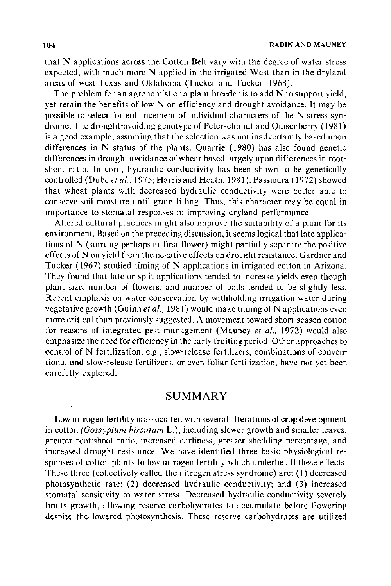that N applications across the Cotton Belt vary with the degree of water stress expected, with much more N applied in the irrigated West than in the dryland areas of west Texas and Oklahoma (Tucker and Tucker, 1968).

The problem for an agronomist or a plant breeder is to add N to support yield, yet retain the benefits of low N on efficiency and drought avoidance. It may be possible to select for enhancement of individual characters of the N stress syndrome. The drought-avoiding genotype of Peterschmidt and Quisenberry ( 1981) is a good example, assuming that the selection was not inadvertantly based upon differences in N status of the plants. Quarrie ( 1980) has also found genetic differences in drought avoidance of wheat based largely upon differences in rootshoot ratio. In corn, hydraulic conductivity has been shown to be genetically controlled (Dube *et al.,* 1975; Harris and Heath, 1981). Passioura (1972) showed that wheat plants with decreased hydraulic conductivity were better able to conserve soil moisture until grain filling. Thus, this character may be equal in importance to stomatal responses in improving dryland performance.

Altered cultural practices might also improve the suitability of a plant for its environment. Based on the preceding discussion, it seems logical that late applications of N (starting perhaps at first flower) might partially separate the positive effects of N on yield from the negative effects on drought resistance. Gardner and Tucker (1967) studied timing of N applications in irrigated cotton in Arizona. They found that late or split applications tended to increase yields even though plant size, number of flowers, and number of bolls tended to be slightly less. Recent emphasis on water conservation by withholding irrigation water during vegetative growth (Guinn *et al.*, 1981) would make timing of N applications even more critical than previously suggested. A movement toward short-season cotton for reasons of integrated pest management (Mauney *et a!.,* 1972) would also emphasize the need for efficiency in the early fruiting period. Other approaches to control of N fertilization, e.g., slow-release fertilizers, combinations of conventional and slow-release fertilizers, or even foliar fertilization, have not yet been carefully explored.

## SUMMARY

Low nitrogen fertility is associated with several alterations of crop development in cotton *(Gossypium hirsutum* L.), including slower growth and smaller leaves, greater root:shoot ratio, increased earliness, greater shedding percentage, and increased drought resistance. We have identified three basic physiological responses of cotton plants to low nitrogen fertility which underlie all these effects. These three (collectively called the nitrogen stress syndrome) are: (1) decreased photosynthetic rate; (2) decreased hydraulic conductivity; and (3) increased stomatal sensitivity to water stress. Decreased hydraulic conductivity severely limits growth, allowing reserve carbohydrates to accumulate before flowering despite the lowered photosynthesis. These reserve carbohydrates are utilized